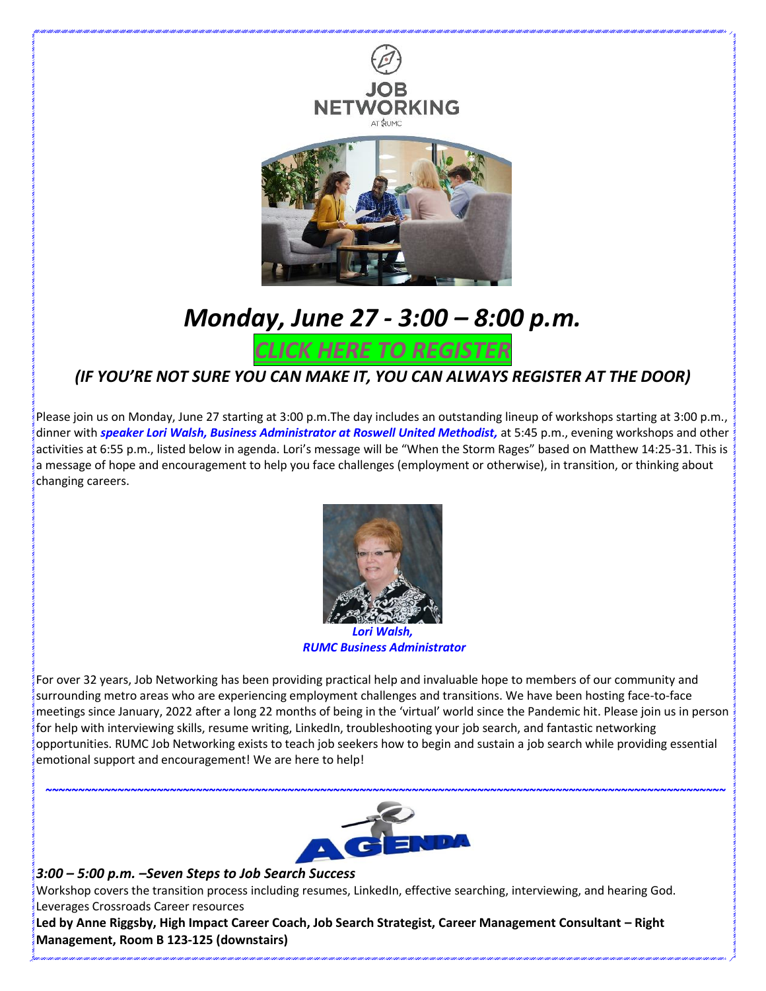

# *Monday, June 27 - 3:00 – 8:00 p.m.*

*CLICK HERE TO [REGISTER](http://www.rumc.com/widgets/event-details/?id=23698)*

### *(IF YOU'RE NOT SURE YOU CAN MAKE IT, YOU CAN ALWAYS REGISTER AT THE DOOR)*

Please join us on Monday, June 27 starting at 3:00 p.m.The day includes an outstanding lineup of workshops starting at 3:00 p.m., dinner with *speaker Lori Walsh, Business Administrator at Roswell United Methodist,* at 5:45 p.m., evening workshops and other activities at 6:55 p.m., listed below in agenda. Lori's message will be "When the Storm Rages" based on Matthew 14:25-31. This is a message of hope and encouragement to help you face challenges (employment or otherwise), in transition, or thinking about changing careers.



*RUMC Business Administrator*

For over 32 years, Job Networking has been providing practical help and invaluable hope to members of our community and surrounding metro areas who are experiencing employment challenges and transitions. We have been hosting face-to-face meetings since January, 2022 after a long 22 months of being in the 'virtual' world since the Pandemic hit. Please join us in person for help with interviewing skills, resume writing, LinkedIn, troubleshooting your job search, and fantastic networking opportunities. RUMC Job Networking exists to teach job seekers how to begin and sustain a job search while providing essential emotional support and encouragement! We are here to help!



#### *3:00 – 5:00 p.m. –Seven Steps to Job Search Success*

Workshop covers the transition process including resumes, LinkedIn, effective searching, interviewing, and hearing God. Leverages Crossroads Career resources

Led by Anne Riggsby, High Impact Career Coach, Job Search Strategist, Career Management Consultant - Right **Management, Room B 123-125 (downstairs)**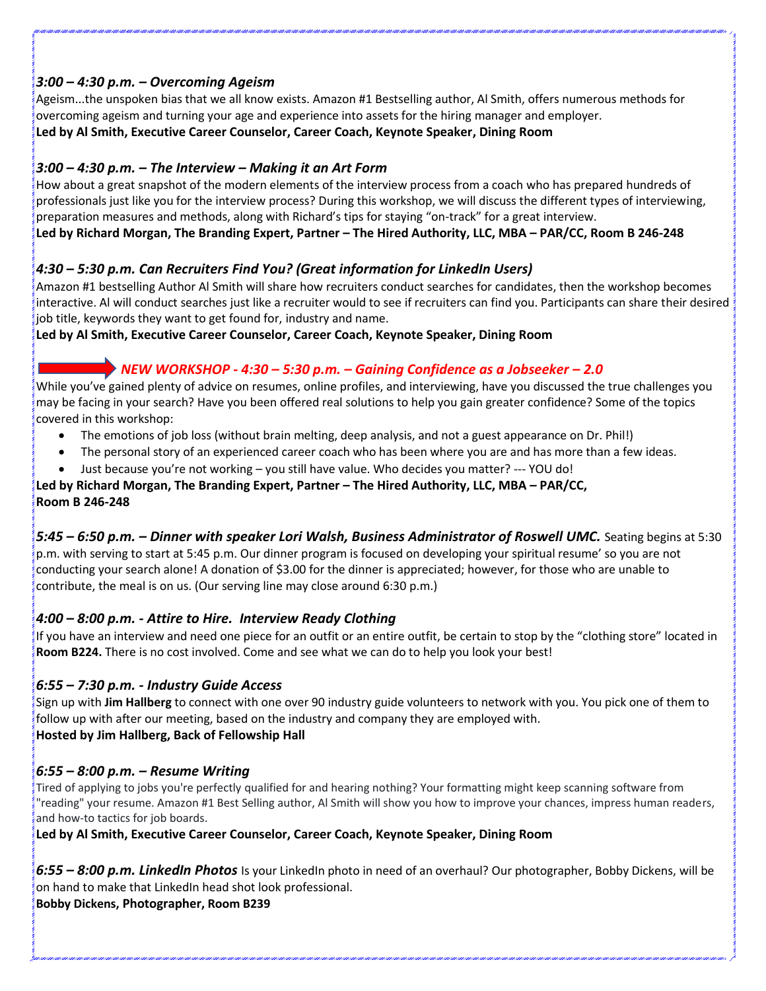#### *3:00 – 4:30 p.m. – Overcoming Ageism*

Ageism...the unspoken bias that we all know exists. Amazon #1 Bestselling author, Al Smith, offers numerous methods for overcoming ageism and turning your age and experience into assets for the hiring manager and employer. **Led by Al Smith, Executive Career Counselor, Career Coach, Keynote Speaker, Dining Room**

#### *3:00 – 4:30 p.m. – The Interview – Making it an Art Form*

How about a great snapshot of the modern elements of the interview process from a coach who has prepared hundreds of professionals just like you for the interview process? During this workshop, we will discuss the different types of interviewing, preparation measures and methods, along with Richard's tips for staying "on-track" for a great interview. **Led by Richard Morgan, The Branding Expert, Partner – The Hired Authority, LLC, MBA – PAR/CC, Room B 246-248**

#### *4:30 – 5:30 p.m. Can Recruiters Find You? (Great information for LinkedIn Users)*

Amazon #1 bestselling Author Al Smith will share how recruiters conduct searches for candidates, then the workshop becomes interactive. Al will conduct searches just like a recruiter would to see if recruiters can find you. Participants can share their desired job title, keywords they want to get found for, industry and name.

**Led by Al Smith, Executive Career Counselor, Career Coach, Keynote Speaker, Dining Room**

#### *NEW WORKSHOP - 4:30 – 5:30 p.m. – Gaining Confidence as a Jobseeker – 2.0*

While you've gained plenty of advice on resumes, online profiles, and interviewing, have you discussed the true challenges you may be facing in your search? Have you been offered real solutions to help you gain greater confidence? Some of the topics covered in this workshop:

- The emotions of job loss (without brain melting, deep analysis, and not a guest appearance on Dr. Phil!)
- The personal story of an experienced career coach who has been where you are and has more than a few ideas.
- Just because you're not working you still have value. Who decides you matter? --- YOU do!

#### **Led by Richard Morgan, The Branding Expert, Partner – The Hired Authority, LLC, MBA – PAR/CC, Room B 246-248**

*5:45 – 6:50 p.m. – Dinner with speaker Lori Walsh, Business Administrator of Roswell UMC.* Seating begins at 5:30 p.m. with serving to start at 5:45 p.m. Our dinner program is focused on developing your spiritual resume' so you are not conducting your search alone! A donation of \$3.00 for the dinner is appreciated; however, for those who are unable to contribute, the meal is on us. (Our serving line may close around 6:30 p.m.)

#### *4:00 – 8:00 p.m. - Attire to Hire. Interview Ready Clothing*

If you have an interview and need one piece for an outfit or an entire outfit, be certain to stop by the "clothing store" located in **Room B224.** There is no cost involved. Come and see what we can do to help you look your best!

#### *6:55 – 7:30 p.m. - Industry Guide Access*

Sign up with **Jim Hallberg** to connect with one over 90 industry guide volunteers to network with you. You pick one of them to follow up with after our meeting, based on the industry and company they are employed with. **Hosted by Jim Hallberg, Back of Fellowship Hall**

#### *6:55 – 8:00 p.m. – Resume Writing*

Tired of applying to jobs you're perfectly qualified for and hearing nothing? Your formatting might keep scanning software from "reading" your resume. Amazon #1 Best Selling author, Al Smith will show you how to improve your chances, impress human readers, and how-to tactics for job boards.

**Led by Al Smith, Executive Career Counselor, Career Coach, Keynote Speaker, Dining Room**

*6:55 – 8:00 p.m. LinkedIn Photos* Is your LinkedIn photo in need of an overhaul? Our photographer, Bobby Dickens, will be on hand to make that LinkedIn head shot look professional.

**Bobby Dickens, Photographer, Room B239**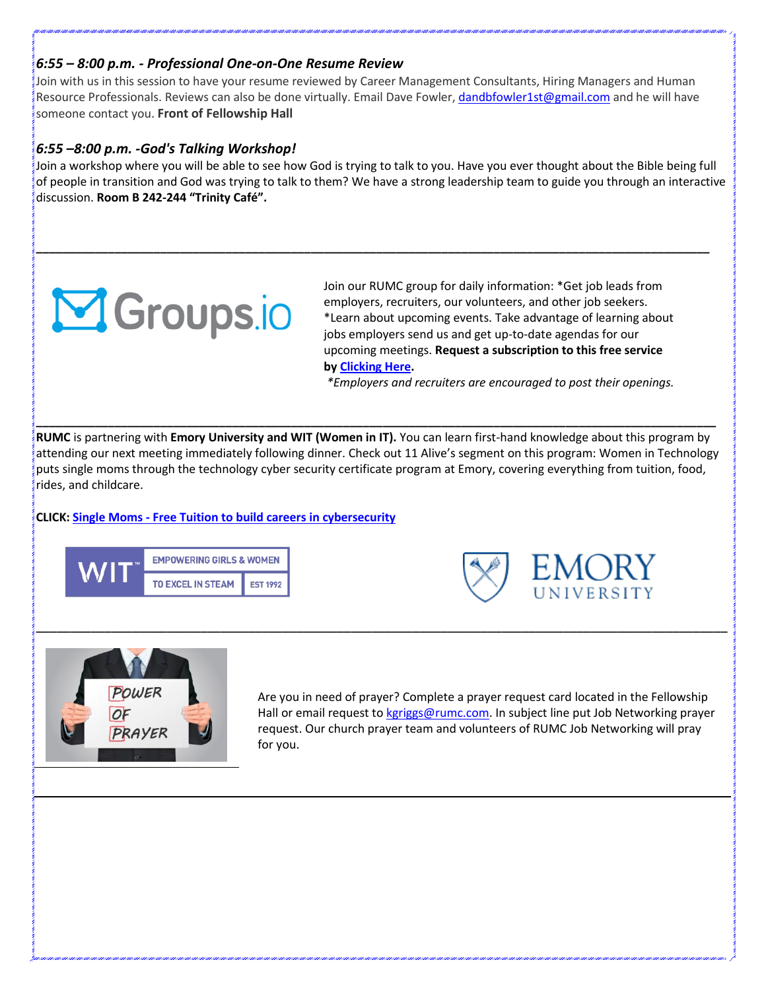#### *6:55 – 8:00 p.m. - Professional One-on-One Resume Review*

Join with us in this session to have your resume reviewed by Career Management Consultants, Hiring Managers and Human Resource Professionals. Reviews can also be done virtually. Email Dave Fowler[, dandbfowler1st@gmail.com](mailto:dandbfowler1st@gmail.com) and he will have someone contact you. **Front of Fellowship Hall**

#### *6:55 –8:00 p.m. -God's Talking Workshop!*

Join a workshop where you will be able to see how God is trying to talk to you. Have you ever thought about the Bible being full of people in transition and God was trying to talk to them? We have a strong leadership team to guide you through an interactive discussion. **Room B 242-244 "Trinity Café".** 

**\_\_\_\_\_\_\_\_\_\_\_\_\_\_\_\_\_\_\_\_\_\_\_\_\_\_\_\_\_\_\_\_\_\_\_\_\_\_\_\_\_\_\_\_\_\_\_\_\_\_\_\_\_\_\_\_\_\_\_\_\_\_\_\_\_\_\_\_\_\_\_\_\_\_\_\_\_\_\_\_\_\_\_\_\_\_\_\_\_\_\_\_\_\_\_\_\_\_\_\_\_\_\_**



Join our RUMC group for daily information: \*Get job leads from employers, recruiters, our volunteers, and other job seekers. \*Learn about upcoming events. Take advantage of learning about jobs employers send us and get up-to-date agendas for our upcoming meetings. **Request a subscription to this free service by [Clicking Here.](https://groups.io/g/RUMCjobnetworking)**

*\*Employers and recruiters are encouraged to post their openings.*

**RUMC** is partnering with **Emory University and WIT (Women in IT).** You can learn first-hand knowledge about this program by attending our next meeting immediately following dinner. Check out 11 Alive's segment on this program: Women in Technology puts single moms through the technology cyber security certificate program at Emory, covering everything from tuition, food, rides, and childcare.

**\_\_\_\_\_\_\_\_\_\_\_\_\_\_\_\_\_\_\_\_\_\_\_\_\_\_\_\_\_\_\_\_\_\_\_\_\_\_\_\_\_\_\_\_\_\_\_\_\_\_\_\_\_\_\_\_\_\_\_\_\_\_\_\_\_\_\_\_\_\_\_\_\_\_\_\_\_\_\_\_\_\_\_\_\_\_\_\_\_\_\_\_\_\_\_\_\_\_\_\_\_**

**\_\_\_\_\_\_\_\_\_\_\_\_\_\_\_\_\_\_\_\_\_\_\_\_\_\_\_\_\_\_\_\_\_\_\_\_\_\_\_\_\_\_\_\_\_\_\_\_\_\_\_\_\_\_\_\_\_\_\_\_\_\_\_\_\_\_\_\_\_\_\_\_\_\_\_\_\_\_\_\_\_\_\_\_\_\_\_\_\_\_\_\_\_\_\_\_\_\_\_\_\_\_\_\_**

#### **CLICK: Single Moms - Free Tuition to build careers in [cybersecurity](https://www.11alive.com/article/news/local/jobs/single-moms-free-tuition-emory-cybersecurity-program/85-2ce34a53-a889-4f3e-8ee9-b5bc77f943ac)**







Are you in need of prayer? Complete a prayer request card located in the Fellowship Hall or email request to [kgriggs@rumc.com.](mailto:kgriggs@rumc.com) In subject line put Job Networking prayer request. Our church prayer team and volunteers of RUMC Job Networking will pray for you.